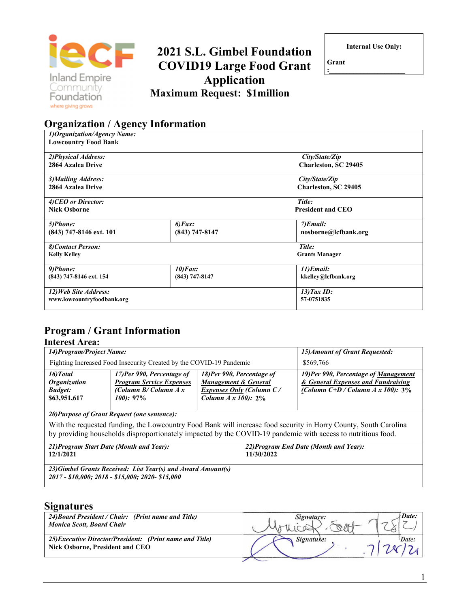

# **2021 S.L. Gimbel Foundation COVID19 Large Food Grant Application Maximum Request: \$1million**

**Internal Use Only:** 

**Grant :\_\_\_\_\_\_\_\_\_\_\_\_\_\_\_\_\_\_\_\_\_\_** 

# **Organization / Agency Information**

| 1) Organization/Agency Name: |                          |                       |  |
|------------------------------|--------------------------|-----------------------|--|
| <b>Lowcountry Food Bank</b>  |                          |                       |  |
| 2) Physical Address:         |                          | City/State/Zip        |  |
| 2864 Azalea Drive            |                          | Charleston, SC 29405  |  |
| 3) Mailing Address:          |                          | City/State/Zip        |  |
| 2864 Azalea Drive            |                          | Charleston, SC 29405  |  |
| 4) CEO or Director:          |                          | Title:                |  |
| <b>Nick Osborne</b>          | <b>President and CEO</b> |                       |  |
| 5)Phone:                     | $6)$ <i>Fax</i> :        | $7)$ <i>Email</i> :   |  |
| (843) 747-8146 ext. 101      | $(843)$ 747-8147         | nosborne@lcfbank.org  |  |
| 8) Contact Person:           |                          | Title:                |  |
| <b>Kelly Kelley</b>          |                          | <b>Grants Manager</b> |  |
| 9)Phone:                     | $10$ ) $Fax$ :           | 11)Email:             |  |
| (843) 747-8146 ext. 154      | $(843)$ 747-8147         | kkelley@lcfbank.org   |  |
| 12) Web Site Address:        |                          | $13)$ Tax ID:         |  |
| www.lowcountryfoodbank.org   |                          | 57-0751835            |  |

# **Program / Grant Information**

#### **Interest Area:**

| 14) Program/Project Name:                                                 |                                                                                                          | 15) Amount of Grant Requested:                                                                                              |                                                                                                                     |  |
|---------------------------------------------------------------------------|----------------------------------------------------------------------------------------------------------|-----------------------------------------------------------------------------------------------------------------------------|---------------------------------------------------------------------------------------------------------------------|--|
| Fighting Increased Food Insecurity Created by the COVID-19 Pandemic       |                                                                                                          |                                                                                                                             | \$569,766                                                                                                           |  |
| 16) Total<br><i><b>Organization</b></i><br><b>Budget:</b><br>\$63,951,617 | 17)Per 990, Percentage of<br><b>Program Service Expenses</b><br>(Column $B/C$ olumn $A x$<br>$100$ : 97% | 18) Per 990, Percentage of<br><b>Management &amp; General</b><br>Expenses Only (Column C/<br><i>Column A x 100)</i> : $2\%$ | 19) Per 990, Percentage of Management<br>& General Expenses and Fundraising<br>(Column C+D / Column A x 100): $3\%$ |  |

*20)Purpose of Grant Request (one sentence):*

With the requested funding, the Lowcountry Food Bank will increase food security in Horry County, South Carolina by providing households disproportionately impacted by the COVID-19 pandemic with access to nutritious food.

*21)Program Start Date (Month and Year):* **12/1/2021** *22)Program End Date (Month and Year):* **11/30/2022** *23)Gimbel Grants Received: List Year(s) and Award Amount(s) 2017 - \$10,000; 2018 - \$15,000; 2020- \$15,000*

#### **Signatures**

| 24) Board President / Chair: (Print name and Title)<br><b>Monica Scott, Board Chair</b>     | Signature: | Date: |
|---------------------------------------------------------------------------------------------|------------|-------|
| 25) Executive Director/President: (Print name and Title)<br>Nick Osborne, President and CEO | Signature: | Date: |
|                                                                                             |            |       |

1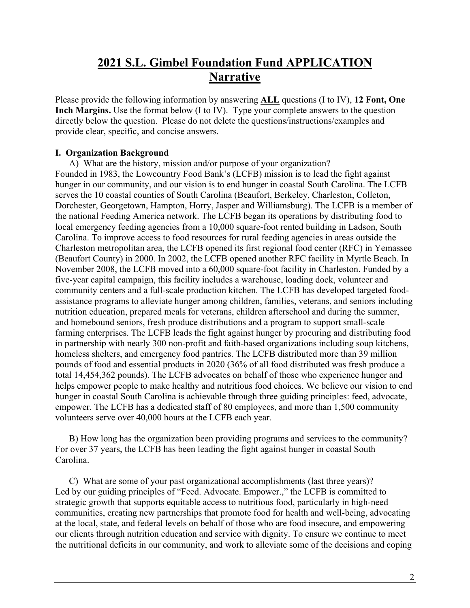# **2021 S.L. Gimbel Foundation Fund APPLICATION Narrative**

Please provide the following information by answering **ALL** questions (I to IV), **12 Font, One Inch Margins.** Use the format below (I to IV). Type your complete answers to the question directly below the question. Please do not delete the questions/instructions/examples and provide clear, specific, and concise answers.

#### **I. Organization Background**

A) What are the history, mission and/or purpose of your organization? Founded in 1983, the Lowcountry Food Bank's (LCFB) mission is to lead the fight against hunger in our community, and our vision is to end hunger in coastal South Carolina. The LCFB serves the 10 coastal counties of South Carolina (Beaufort, Berkeley, Charleston, Colleton, Dorchester, Georgetown, Hampton, Horry, Jasper and Williamsburg). The LCFB is a member of the national Feeding America network. The LCFB began its operations by distributing food to local emergency feeding agencies from a 10,000 square-foot rented building in Ladson, South Carolina. To improve access to food resources for rural feeding agencies in areas outside the Charleston metropolitan area, the LCFB opened its first regional food center (RFC) in Yemassee (Beaufort County) in 2000. In 2002, the LCFB opened another RFC facility in Myrtle Beach. In November 2008, the LCFB moved into a 60,000 square-foot facility in Charleston. Funded by a five-year capital campaign, this facility includes a warehouse, loading dock, volunteer and community centers and a full-scale production kitchen. The LCFB has developed targeted foodassistance programs to alleviate hunger among children, families, veterans, and seniors including nutrition education, prepared meals for veterans, children afterschool and during the summer, and homebound seniors, fresh produce distributions and a program to support small-scale farming enterprises. The LCFB leads the fight against hunger by procuring and distributing food in partnership with nearly 300 non-profit and faith-based organizations including soup kitchens, homeless shelters, and emergency food pantries. The LCFB distributed more than 39 million pounds of food and essential products in 2020 (36% of all food distributed was fresh produce a total 14,454,362 pounds). The LCFB advocates on behalf of those who experience hunger and helps empower people to make healthy and nutritious food choices. We believe our vision to end hunger in coastal South Carolina is achievable through three guiding principles: feed, advocate, empower. The LCFB has a dedicated staff of 80 employees, and more than 1,500 community volunteers serve over 40,000 hours at the LCFB each year.

B) How long has the organization been providing programs and services to the community? For over 37 years, the LCFB has been leading the fight against hunger in coastal South Carolina.

C) What are some of your past organizational accomplishments (last three years)? Led by our guiding principles of "Feed. Advocate. Empower.," the LCFB is committed to strategic growth that supports equitable access to nutritious food, particularly in high-need communities, creating new partnerships that promote food for health and well-being, advocating at the local, state, and federal levels on behalf of those who are food insecure, and empowering our clients through nutrition education and service with dignity. To ensure we continue to meet the nutritional deficits in our community, and work to alleviate some of the decisions and coping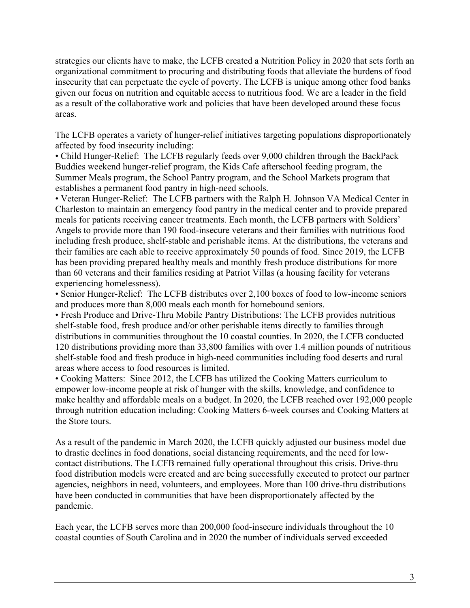strategies our clients have to make, the LCFB created a Nutrition Policy in 2020 that sets forth an organizational commitment to procuring and distributing foods that alleviate the burdens of food insecurity that can perpetuate the cycle of poverty. The LCFB is unique among other food banks given our focus on nutrition and equitable access to nutritious food. We are a leader in the field as a result of the collaborative work and policies that have been developed around these focus areas.

The LCFB operates a variety of hunger-relief initiatives targeting populations disproportionately affected by food insecurity including:

• Child Hunger-Relief: The LCFB regularly feeds over 9,000 children through the BackPack Buddies weekend hunger-relief program, the Kids Cafe afterschool feeding program, the Summer Meals program, the School Pantry program, and the School Markets program that establishes a permanent food pantry in high-need schools.

• Veteran Hunger-Relief: The LCFB partners with the Ralph H. Johnson VA Medical Center in Charleston to maintain an emergency food pantry in the medical center and to provide prepared meals for patients receiving cancer treatments. Each month, the LCFB partners with Soldiers' Angels to provide more than 190 food-insecure veterans and their families with nutritious food including fresh produce, shelf-stable and perishable items. At the distributions, the veterans and their families are each able to receive approximately 50 pounds of food. Since 2019, the LCFB has been providing prepared healthy meals and monthly fresh produce distributions for more than 60 veterans and their families residing at Patriot Villas (a housing facility for veterans experiencing homelessness).

• Senior Hunger-Relief: The LCFB distributes over 2,100 boxes of food to low-income seniors and produces more than 8,000 meals each month for homebound seniors.

• Fresh Produce and Drive-Thru Mobile Pantry Distributions: The LCFB provides nutritious shelf-stable food, fresh produce and/or other perishable items directly to families through distributions in communities throughout the 10 coastal counties. In 2020, the LCFB conducted 120 distributions providing more than 33,800 families with over 1.4 million pounds of nutritious shelf-stable food and fresh produce in high-need communities including food deserts and rural areas where access to food resources is limited.

• Cooking Matters: Since 2012, the LCFB has utilized the Cooking Matters curriculum to empower low-income people at risk of hunger with the skills, knowledge, and confidence to make healthy and affordable meals on a budget. In 2020, the LCFB reached over 192,000 people through nutrition education including: Cooking Matters 6-week courses and Cooking Matters at the Store tours.

As a result of the pandemic in March 2020, the LCFB quickly adjusted our business model due to drastic declines in food donations, social distancing requirements, and the need for lowcontact distributions. The LCFB remained fully operational throughout this crisis. Drive-thru food distribution models were created and are being successfully executed to protect our partner agencies, neighbors in need, volunteers, and employees. More than 100 drive-thru distributions have been conducted in communities that have been disproportionately affected by the pandemic.

Each year, the LCFB serves more than 200,000 food-insecure individuals throughout the 10 coastal counties of South Carolina and in 2020 the number of individuals served exceeded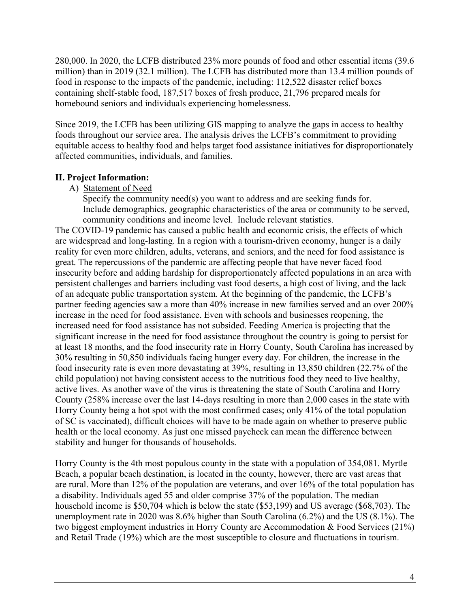280,000. In 2020, the LCFB distributed 23% more pounds of food and other essential items (39.6 million) than in 2019 (32.1 million). The LCFB has distributed more than 13.4 million pounds of food in response to the impacts of the pandemic, including: 112,522 disaster relief boxes containing shelf-stable food, 187,517 boxes of fresh produce, 21,796 prepared meals for homebound seniors and individuals experiencing homelessness.

Since 2019, the LCFB has been utilizing GIS mapping to analyze the gaps in access to healthy foods throughout our service area. The analysis drives the LCFB's commitment to providing equitable access to healthy food and helps target food assistance initiatives for disproportionately affected communities, individuals, and families.

# **II. Project Information:**

A) Statement of Need

Specify the community need(s) you want to address and are seeking funds for. Include demographics, geographic characteristics of the area or community to be served, community conditions and income level. Include relevant statistics.

The COVID-19 pandemic has caused a public health and economic crisis, the effects of which are widespread and long-lasting. In a region with a tourism-driven economy, hunger is a daily reality for even more children, adults, veterans, and seniors, and the need for food assistance is great. The repercussions of the pandemic are affecting people that have never faced food insecurity before and adding hardship for disproportionately affected populations in an area with persistent challenges and barriers including vast food deserts, a high cost of living, and the lack of an adequate public transportation system. At the beginning of the pandemic, the LCFB's partner feeding agencies saw a more than 40% increase in new families served and an over 200% increase in the need for food assistance. Even with schools and businesses reopening, the increased need for food assistance has not subsided. Feeding America is projecting that the significant increase in the need for food assistance throughout the country is going to persist for at least 18 months, and the food insecurity rate in Horry County, South Carolina has increased by 30% resulting in 50,850 individuals facing hunger every day. For children, the increase in the food insecurity rate is even more devastating at 39%, resulting in 13,850 children (22.7% of the child population) not having consistent access to the nutritious food they need to live healthy, active lives. As another wave of the virus is threatening the state of South Carolina and Horry County (258% increase over the last 14-days resulting in more than 2,000 cases in the state with Horry County being a hot spot with the most confirmed cases; only 41% of the total population of SC is vaccinated), difficult choices will have to be made again on whether to preserve public health or the local economy. As just one missed paycheck can mean the difference between stability and hunger for thousands of households.

Horry County is the 4th most populous county in the state with a population of 354,081. Myrtle Beach, a popular beach destination, is located in the county, however, there are vast areas that are rural. More than 12% of the population are veterans, and over 16% of the total population has a disability. Individuals aged 55 and older comprise 37% of the population. The median household income is \$50,704 which is below the state (\$53,199) and US average (\$68,703). The unemployment rate in 2020 was 8.6% higher than South Carolina (6.2%) and the US (8.1%). The two biggest employment industries in Horry County are Accommodation & Food Services (21%) and Retail Trade (19%) which are the most susceptible to closure and fluctuations in tourism.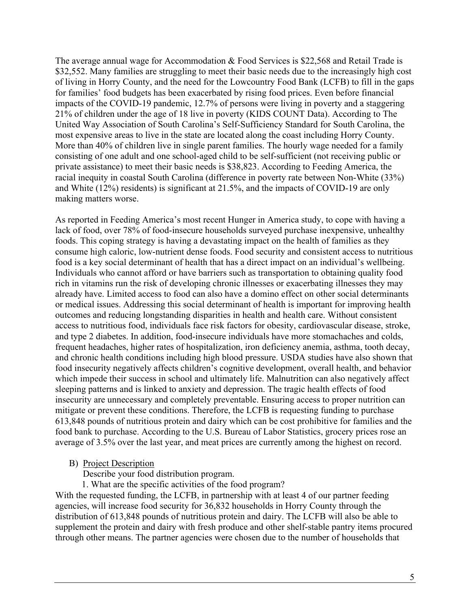The average annual wage for Accommodation & Food Services is \$22,568 and Retail Trade is \$32,552. Many families are struggling to meet their basic needs due to the increasingly high cost of living in Horry County, and the need for the Lowcountry Food Bank (LCFB) to fill in the gaps for families' food budgets has been exacerbated by rising food prices. Even before financial impacts of the COVID-19 pandemic, 12.7% of persons were living in poverty and a staggering 21% of children under the age of 18 live in poverty (KIDS COUNT Data). According to The United Way Association of South Carolina's Self-Sufficiency Standard for South Carolina, the most expensive areas to live in the state are located along the coast including Horry County. More than 40% of children live in single parent families. The hourly wage needed for a family consisting of one adult and one school-aged child to be self-sufficient (not receiving public or private assistance) to meet their basic needs is \$38,823. According to Feeding America, the racial inequity in coastal South Carolina (difference in poverty rate between Non-White (33%) and White (12%) residents) is significant at 21.5%, and the impacts of COVID-19 are only making matters worse.

As reported in Feeding America's most recent Hunger in America study, to cope with having a lack of food, over 78% of food-insecure households surveyed purchase inexpensive, unhealthy foods. This coping strategy is having a devastating impact on the health of families as they consume high caloric, low-nutrient dense foods. Food security and consistent access to nutritious food is a key social determinant of health that has a direct impact on an individual's wellbeing. Individuals who cannot afford or have barriers such as transportation to obtaining quality food rich in vitamins run the risk of developing chronic illnesses or exacerbating illnesses they may already have. Limited access to food can also have a domino effect on other social determinants or medical issues. Addressing this social determinant of health is important for improving health outcomes and reducing longstanding disparities in health and health care. Without consistent access to nutritious food, individuals face risk factors for obesity, cardiovascular disease, stroke, and type 2 diabetes. In addition, food-insecure individuals have more stomachaches and colds, frequent headaches, higher rates of hospitalization, iron deficiency anemia, asthma, tooth decay, and chronic health conditions including high blood pressure. USDA studies have also shown that food insecurity negatively affects children's cognitive development, overall health, and behavior which impede their success in school and ultimately life. Malnutrition can also negatively affect sleeping patterns and is linked to anxiety and depression. The tragic health effects of food insecurity are unnecessary and completely preventable. Ensuring access to proper nutrition can mitigate or prevent these conditions. Therefore, the LCFB is requesting funding to purchase 613,848 pounds of nutritious protein and dairy which can be cost prohibitive for families and the food bank to purchase. According to the U.S. Bureau of Labor Statistics, grocery prices rose an average of 3.5% over the last year, and meat prices are currently among the highest on record.

#### B) Project Description

Describe your food distribution program.

1. What are the specific activities of the food program?

With the requested funding, the LCFB, in partnership with at least 4 of our partner feeding agencies, will increase food security for 36,832 households in Horry County through the distribution of 613,848 pounds of nutritious protein and dairy. The LCFB will also be able to supplement the protein and dairy with fresh produce and other shelf-stable pantry items procured through other means. The partner agencies were chosen due to the number of households that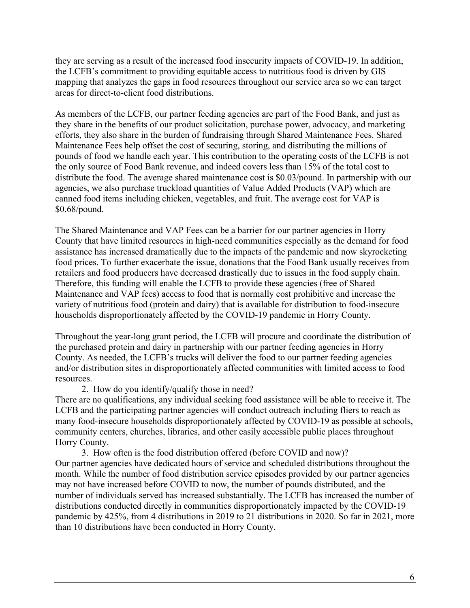they are serving as a result of the increased food insecurity impacts of COVID-19. In addition, the LCFB's commitment to providing equitable access to nutritious food is driven by GIS mapping that analyzes the gaps in food resources throughout our service area so we can target areas for direct-to-client food distributions.

As members of the LCFB, our partner feeding agencies are part of the Food Bank, and just as they share in the benefits of our product solicitation, purchase power, advocacy, and marketing efforts, they also share in the burden of fundraising through Shared Maintenance Fees. Shared Maintenance Fees help offset the cost of securing, storing, and distributing the millions of pounds of food we handle each year. This contribution to the operating costs of the LCFB is not the only source of Food Bank revenue, and indeed covers less than 15% of the total cost to distribute the food. The average shared maintenance cost is \$0.03/pound. In partnership with our agencies, we also purchase truckload quantities of Value Added Products (VAP) which are canned food items including chicken, vegetables, and fruit. The average cost for VAP is \$0.68/pound.

The Shared Maintenance and VAP Fees can be a barrier for our partner agencies in Horry County that have limited resources in high-need communities especially as the demand for food assistance has increased dramatically due to the impacts of the pandemic and now skyrocketing food prices. To further exacerbate the issue, donations that the Food Bank usually receives from retailers and food producers have decreased drastically due to issues in the food supply chain. Therefore, this funding will enable the LCFB to provide these agencies (free of Shared Maintenance and VAP fees) access to food that is normally cost prohibitive and increase the variety of nutritious food (protein and dairy) that is available for distribution to food-insecure households disproportionately affected by the COVID-19 pandemic in Horry County.

Throughout the year-long grant period, the LCFB will procure and coordinate the distribution of the purchased protein and dairy in partnership with our partner feeding agencies in Horry County. As needed, the LCFB's trucks will deliver the food to our partner feeding agencies and/or distribution sites in disproportionately affected communities with limited access to food resources.

#### 2. How do you identify/qualify those in need?

There are no qualifications, any individual seeking food assistance will be able to receive it. The LCFB and the participating partner agencies will conduct outreach including fliers to reach as many food-insecure households disproportionately affected by COVID-19 as possible at schools, community centers, churches, libraries, and other easily accessible public places throughout Horry County.

 3. How often is the food distribution offered (before COVID and now)? Our partner agencies have dedicated hours of service and scheduled distributions throughout the month. While the number of food distribution service episodes provided by our partner agencies may not have increased before COVID to now, the number of pounds distributed, and the number of individuals served has increased substantially. The LCFB has increased the number of distributions conducted directly in communities disproportionately impacted by the COVID-19 pandemic by 425%, from 4 distributions in 2019 to 21 distributions in 2020. So far in 2021, more than 10 distributions have been conducted in Horry County.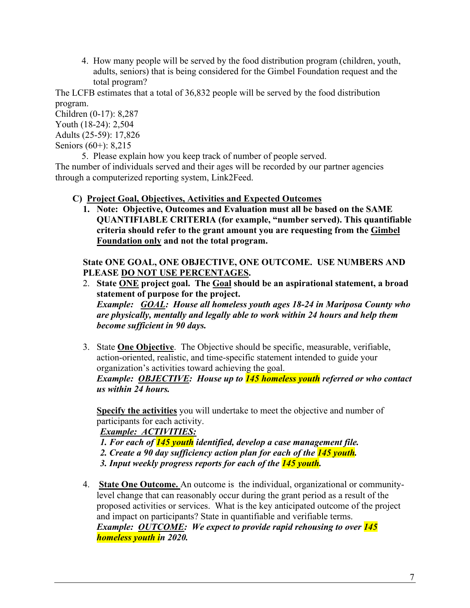4. How many people will be served by the food distribution program (children, youth, adults, seniors) that is being considered for the Gimbel Foundation request and the total program?

The LCFB estimates that a total of 36,832 people will be served by the food distribution program.

Children (0-17): 8,287 Youth (18-24): 2,504 Adults (25-59): 17,826

Seniors (60+): 8,215

 5. Please explain how you keep track of number of people served. The number of individuals served and their ages will be recorded by our partner agencies through a computerized reporting system, Link2Feed.

# **C) Project Goal, Objectives, Activities and Expected Outcomes**

**1. Note: Objective, Outcomes and Evaluation must all be based on the SAME QUANTIFIABLE CRITERIA (for example, "number served). This quantifiable criteria should refer to the grant amount you are requesting from the Gimbel Foundation only and not the total program.** 

# **State ONE GOAL, ONE OBJECTIVE, ONE OUTCOME. USE NUMBERS AND PLEASE DO NOT USE PERCENTAGES.**

- 2. **State ONE project goal. The Goal should be an aspirational statement, a broad statement of purpose for the project.** *Example: GOAL: House all homeless youth ages 18-24 in Mariposa County who are physically, mentally and legally able to work within 24 hours and help them become sufficient in 90 days.*
- 3. State **One Objective**. The Objective should be specific, measurable, verifiable, action-oriented, realistic, and time-specific statement intended to guide your organization's activities toward achieving the goal.

*Example: OBJECTIVE: House up to 145 homeless youth referred or who contact us within 24 hours.* 

**Specify the activities** you will undertake to meet the objective and number of participants for each activity.

*Example: ACTIVITIES:* 

*1. For each of 145 youth identified, develop a case management file. 2. Create a 90 day sufficiency action plan for each of the 145 youth. 3. Input weekly progress reports for each of the 145 youth.* 

4. **State One Outcome.** An outcome is the individual, organizational or communitylevel change that can reasonably occur during the grant period as a result of the proposed activities or services. What is the key anticipated outcome of the project and impact on participants? State in quantifiable and verifiable terms. *Example: OUTCOME: We expect to provide rapid rehousing to over 145 homeless youth in 2020.*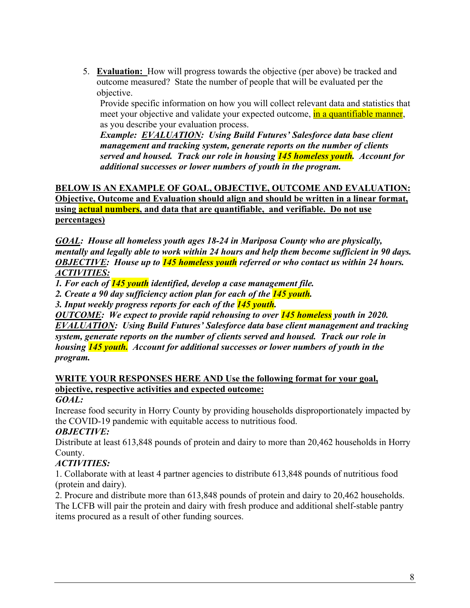5. **Evaluation:** How will progress towards the objective (per above) be tracked and outcome measured? State the number of people that will be evaluated per the objective.

Provide specific information on how you will collect relevant data and statistics that meet your objective and validate your expected outcome, **in a quantifiable manner**, as you describe your evaluation process.

*Example: EVALUATION: Using Build Futures' Salesforce data base client management and tracking system, generate reports on the number of clients served and housed. Track our role in housing 145 homeless youth. Account for additional successes or lower numbers of youth in the program.* 

**BELOW IS AN EXAMPLE OF GOAL, OBJECTIVE, OUTCOME AND EVALUATION: Objective, Outcome and Evaluation should align and should be written in a linear format, using actual numbers, and data that are quantifiable, and verifiable. Do not use percentages)** 

*GOAL: House all homeless youth ages 18-24 in Mariposa County who are physically, mentally and legally able to work within 24 hours and help them become sufficient in 90 days. OBJECTIVE: House up to 145 homeless youth referred or who contact us within 24 hours. ACTIVITIES:* 

*1. For each of 145 youth identified, develop a case management file.* 

*2. Create a 90 day sufficiency action plan for each of the 145 youth.* 

*3. Input weekly progress reports for each of the 145 youth.* 

*OUTCOME: We expect to provide rapid rehousing to over 145 homeless youth in 2020. EVALUATION: Using Build Futures' Salesforce data base client management and tracking system, generate reports on the number of clients served and housed. Track our role in housing 145 youth. Account for additional successes or lower numbers of youth in the program.* 

# **WRITE YOUR RESPONSES HERE AND Use the following format for your goal, objective, respective activities and expected outcome:**

### *GOAL:*

Increase food security in Horry County by providing households disproportionately impacted by the COVID-19 pandemic with equitable access to nutritious food.

### *OBJECTIVE:*

Distribute at least 613,848 pounds of protein and dairy to more than 20,462 households in Horry County.

# *ACTIVITIES:*

1. Collaborate with at least 4 partner agencies to distribute 613,848 pounds of nutritious food (protein and dairy).

2. Procure and distribute more than 613,848 pounds of protein and dairy to 20,462 households. The LCFB will pair the protein and dairy with fresh produce and additional shelf-stable pantry items procured as a result of other funding sources.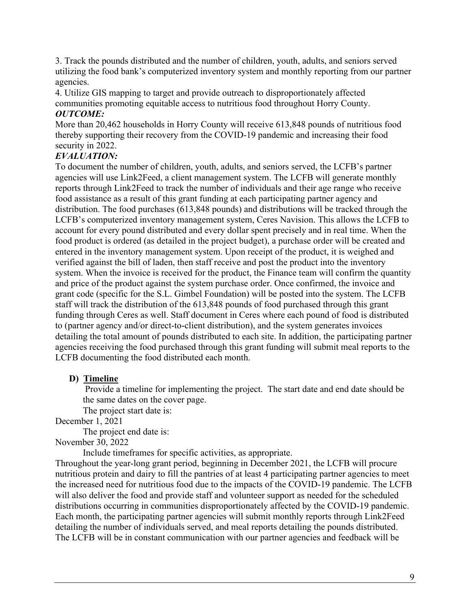3. Track the pounds distributed and the number of children, youth, adults, and seniors served utilizing the food bank's computerized inventory system and monthly reporting from our partner agencies.

4. Utilize GIS mapping to target and provide outreach to disproportionately affected communities promoting equitable access to nutritious food throughout Horry County.

# *OUTCOME:*

More than 20,462 households in Horry County will receive 613,848 pounds of nutritious food thereby supporting their recovery from the COVID-19 pandemic and increasing their food security in 2022.

# *EVALUATION:*

To document the number of children, youth, adults, and seniors served, the LCFB's partner agencies will use Link2Feed, a client management system. The LCFB will generate monthly reports through Link2Feed to track the number of individuals and their age range who receive food assistance as a result of this grant funding at each participating partner agency and distribution. The food purchases (613,848 pounds) and distributions will be tracked through the LCFB's computerized inventory management system, Ceres Navision. This allows the LCFB to account for every pound distributed and every dollar spent precisely and in real time. When the food product is ordered (as detailed in the project budget), a purchase order will be created and entered in the inventory management system. Upon receipt of the product, it is weighed and verified against the bill of laden, then staff receive and post the product into the inventory system. When the invoice is received for the product, the Finance team will confirm the quantity and price of the product against the system purchase order. Once confirmed, the invoice and grant code (specific for the S.L. Gimbel Foundation) will be posted into the system. The LCFB staff will track the distribution of the 613,848 pounds of food purchased through this grant funding through Ceres as well. Staff document in Ceres where each pound of food is distributed to (partner agency and/or direct-to-client distribution), and the system generates invoices detailing the total amount of pounds distributed to each site. In addition, the participating partner agencies receiving the food purchased through this grant funding will submit meal reports to the LCFB documenting the food distributed each month.

### **D) Timeline**

 Provide a timeline for implementing the project. The start date and end date should be the same dates on the cover page.

The project start date is:

December 1, 2021

The project end date is:

### November 30, 2022

Include timeframes for specific activities, as appropriate.

Throughout the year-long grant period, beginning in December 2021, the LCFB will procure nutritious protein and dairy to fill the pantries of at least 4 participating partner agencies to meet the increased need for nutritious food due to the impacts of the COVID-19 pandemic. The LCFB will also deliver the food and provide staff and volunteer support as needed for the scheduled distributions occurring in communities disproportionately affected by the COVID-19 pandemic. Each month, the participating partner agencies will submit monthly reports through Link2Feed detailing the number of individuals served, and meal reports detailing the pounds distributed. The LCFB will be in constant communication with our partner agencies and feedback will be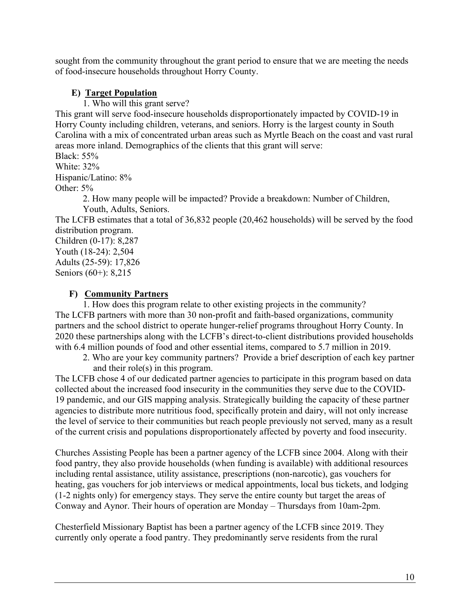sought from the community throughout the grant period to ensure that we are meeting the needs of food-insecure households throughout Horry County.

# **E) Target Population**

1. Who will this grant serve?

This grant will serve food-insecure households disproportionately impacted by COVID-19 in Horry County including children, veterans, and seniors. Horry is the largest county in South Carolina with a mix of concentrated urban areas such as Myrtle Beach on the coast and vast rural areas more inland. Demographics of the clients that this grant will serve:

Black: 55% White: 32%

Hispanic/Latino: 8%

Other: 5%

2. How many people will be impacted? Provide a breakdown: Number of Children, Youth, Adults, Seniors.

The LCFB estimates that a total of 36,832 people (20,462 households) will be served by the food distribution program.

Children (0-17): 8,287 Youth (18-24): 2,504 Adults (25-59): 17,826 Seniors (60+): 8,215

# **F) Community Partners**

1. How does this program relate to other existing projects in the community? The LCFB partners with more than 30 non-profit and faith-based organizations, community partners and the school district to operate hunger-relief programs throughout Horry County. In 2020 these partnerships along with the LCFB's direct-to-client distributions provided households with 6.4 million pounds of food and other essential items, compared to 5.7 million in 2019.

2. Who are your key community partners? Provide a brief description of each key partner and their role(s) in this program.

The LCFB chose 4 of our dedicated partner agencies to participate in this program based on data collected about the increased food insecurity in the communities they serve due to the COVID-19 pandemic, and our GIS mapping analysis. Strategically building the capacity of these partner agencies to distribute more nutritious food, specifically protein and dairy, will not only increase the level of service to their communities but reach people previously not served, many as a result of the current crisis and populations disproportionately affected by poverty and food insecurity.

Churches Assisting People has been a partner agency of the LCFB since 2004. Along with their food pantry, they also provide households (when funding is available) with additional resources including rental assistance, utility assistance, prescriptions (non-narcotic), gas vouchers for heating, gas vouchers for job interviews or medical appointments, local bus tickets, and lodging (1-2 nights only) for emergency stays. They serve the entire county but target the areas of Conway and Aynor. Their hours of operation are Monday – Thursdays from 10am-2pm.

Chesterfield Missionary Baptist has been a partner agency of the LCFB since 2019. They currently only operate a food pantry. They predominantly serve residents from the rural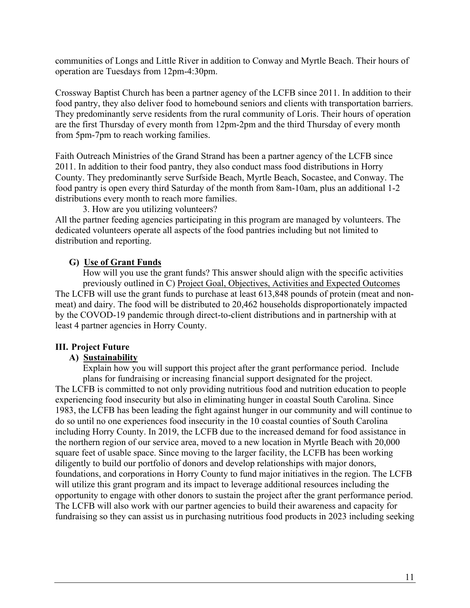communities of Longs and Little River in addition to Conway and Myrtle Beach. Their hours of operation are Tuesdays from 12pm-4:30pm.

Crossway Baptist Church has been a partner agency of the LCFB since 2011. In addition to their food pantry, they also deliver food to homebound seniors and clients with transportation barriers. They predominantly serve residents from the rural community of Loris. Their hours of operation are the first Thursday of every month from 12pm-2pm and the third Thursday of every month from 5pm-7pm to reach working families.

Faith Outreach Ministries of the Grand Strand has been a partner agency of the LCFB since 2011. In addition to their food pantry, they also conduct mass food distributions in Horry County. They predominantly serve Surfside Beach, Myrtle Beach, Socastee, and Conway. The food pantry is open every third Saturday of the month from 8am-10am, plus an additional 1-2 distributions every month to reach more families.

3. How are you utilizing volunteers?

All the partner feeding agencies participating in this program are managed by volunteers. The dedicated volunteers operate all aspects of the food pantries including but not limited to distribution and reporting.

### **G) Use of Grant Funds**

 How will you use the grant funds? This answer should align with the specific activities previously outlined in C) Project Goal, Objectives, Activities and Expected Outcomes The LCFB will use the grant funds to purchase at least 613,848 pounds of protein (meat and nonmeat) and dairy. The food will be distributed to 20,462 households disproportionately impacted by the COVOD-19 pandemic through direct-to-client distributions and in partnership with at least 4 partner agencies in Horry County.

#### **III. Project Future**

### **A) Sustainability**

 Explain how you will support this project after the grant performance period. Include plans for fundraising or increasing financial support designated for the project. The LCFB is committed to not only providing nutritious food and nutrition education to people experiencing food insecurity but also in eliminating hunger in coastal South Carolina. Since 1983, the LCFB has been leading the fight against hunger in our community and will continue to do so until no one experiences food insecurity in the 10 coastal counties of South Carolina including Horry County. In 2019, the LCFB due to the increased demand for food assistance in the northern region of our service area, moved to a new location in Myrtle Beach with 20,000 square feet of usable space. Since moving to the larger facility, the LCFB has been working diligently to build our portfolio of donors and develop relationships with major donors, foundations, and corporations in Horry County to fund major initiatives in the region. The LCFB will utilize this grant program and its impact to leverage additional resources including the opportunity to engage with other donors to sustain the project after the grant performance period. The LCFB will also work with our partner agencies to build their awareness and capacity for fundraising so they can assist us in purchasing nutritious food products in 2023 including seeking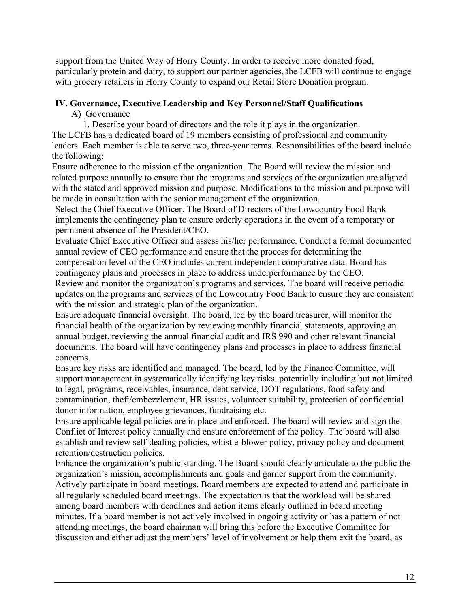support from the United Way of Horry County. In order to receive more donated food, particularly protein and dairy, to support our partner agencies, the LCFB will continue to engage with grocery retailers in Horry County to expand our Retail Store Donation program.

# **IV. Governance, Executive Leadership and Key Personnel/Staff Qualifications**

A) Governance

1. Describe your board of directors and the role it plays in the organization.

The LCFB has a dedicated board of 19 members consisting of professional and community leaders. Each member is able to serve two, three-year terms. Responsibilities of the board include the following:

Ensure adherence to the mission of the organization. The Board will review the mission and related purpose annually to ensure that the programs and services of the organization are aligned with the stated and approved mission and purpose. Modifications to the mission and purpose will be made in consultation with the senior management of the organization.

Select the Chief Executive Officer. The Board of Directors of the Lowcountry Food Bank implements the contingency plan to ensure orderly operations in the event of a temporary or permanent absence of the President/CEO.

Evaluate Chief Executive Officer and assess his/her performance. Conduct a formal documented annual review of CEO performance and ensure that the process for determining the compensation level of the CEO includes current independent comparative data. Board has contingency plans and processes in place to address underperformance by the CEO.

Review and monitor the organization's programs and services. The board will receive periodic updates on the programs and services of the Lowcountry Food Bank to ensure they are consistent with the mission and strategic plan of the organization.

Ensure adequate financial oversight. The board, led by the board treasurer, will monitor the financial health of the organization by reviewing monthly financial statements, approving an annual budget, reviewing the annual financial audit and IRS 990 and other relevant financial documents. The board will have contingency plans and processes in place to address financial concerns.

Ensure key risks are identified and managed. The board, led by the Finance Committee, will support management in systematically identifying key risks, potentially including but not limited to legal, programs, receivables, insurance, debt service, DOT regulations, food safety and contamination, theft/embezzlement, HR issues, volunteer suitability, protection of confidential donor information, employee grievances, fundraising etc.

Ensure applicable legal policies are in place and enforced. The board will review and sign the Conflict of Interest policy annually and ensure enforcement of the policy. The board will also establish and review self-dealing policies, whistle-blower policy, privacy policy and document retention/destruction policies.

Enhance the organization's public standing. The Board should clearly articulate to the public the organization's mission, accomplishments and goals and garner support from the community. Actively participate in board meetings. Board members are expected to attend and participate in all regularly scheduled board meetings. The expectation is that the workload will be shared among board members with deadlines and action items clearly outlined in board meeting minutes. If a board member is not actively involved in ongoing activity or has a pattern of not attending meetings, the board chairman will bring this before the Executive Committee for discussion and either adjust the members' level of involvement or help them exit the board, as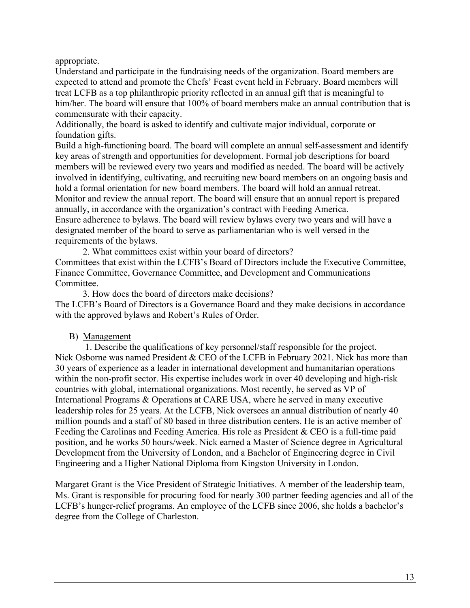appropriate.

Understand and participate in the fundraising needs of the organization. Board members are expected to attend and promote the Chefs' Feast event held in February. Board members will treat LCFB as a top philanthropic priority reflected in an annual gift that is meaningful to him/her. The board will ensure that 100% of board members make an annual contribution that is commensurate with their capacity.

Additionally, the board is asked to identify and cultivate major individual, corporate or foundation gifts.

Build a high-functioning board. The board will complete an annual self-assessment and identify key areas of strength and opportunities for development. Formal job descriptions for board members will be reviewed every two years and modified as needed. The board will be actively involved in identifying, cultivating, and recruiting new board members on an ongoing basis and hold a formal orientation for new board members. The board will hold an annual retreat. Monitor and review the annual report. The board will ensure that an annual report is prepared annually, in accordance with the organization's contract with Feeding America. Ensure adherence to bylaws. The board will review bylaws every two years and will have a designated member of the board to serve as parliamentarian who is well versed in the requirements of the bylaws.

2. What committees exist within your board of directors? Committees that exist within the LCFB's Board of Directors include the Executive Committee, Finance Committee, Governance Committee, and Development and Communications Committee.

3. How does the board of directors make decisions? The LCFB's Board of Directors is a Governance Board and they make decisions in accordance with the approved bylaws and Robert's Rules of Order.

### B) Management

 1. Describe the qualifications of key personnel/staff responsible for the project. Nick Osborne was named President & CEO of the LCFB in February 2021. Nick has more than 30 years of experience as a leader in international development and humanitarian operations within the non-profit sector. His expertise includes work in over 40 developing and high-risk countries with global, international organizations. Most recently, he served as VP of International Programs & Operations at CARE USA, where he served in many executive leadership roles for 25 years. At the LCFB, Nick oversees an annual distribution of nearly 40 million pounds and a staff of 80 based in three distribution centers. He is an active member of Feeding the Carolinas and Feeding America. His role as President & CEO is a full-time paid position, and he works 50 hours/week. Nick earned a Master of Science degree in Agricultural Development from the University of London, and a Bachelor of Engineering degree in Civil Engineering and a Higher National Diploma from Kingston University in London.

Margaret Grant is the Vice President of Strategic Initiatives. A member of the leadership team, Ms. Grant is responsible for procuring food for nearly 300 partner feeding agencies and all of the LCFB's hunger-relief programs. An employee of the LCFB since 2006, she holds a bachelor's degree from the College of Charleston.